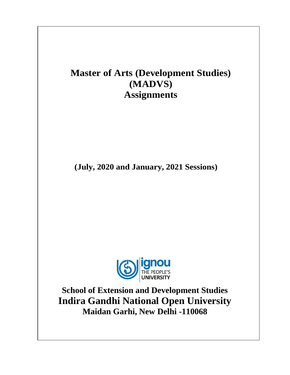# **Master of Arts (Development Studies) (MADVS) Assignments**

**(July, 2020 and January, 2021 Sessions)**



**School of Extension and Development Studies Indira Gandhi National Open University Maidan Garhi, New Delhi -110068**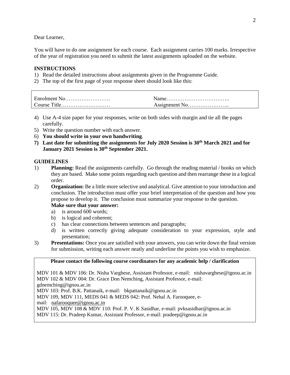Dear Learner,

You will have to do one assignment for each course. Each assignment carries 100 marks. Irrespective of the year of registration you need to submit the latest assignments uploaded on the website.

# **INSTRUCTIONS**

- 1) Read the detailed instructions about assignments given in the Programme Guide.
- 2) The top of the first page of your response sheet should look like this:

| - Enrolment i<br>N <sub>0</sub><br>.              | $\alpha$ me        |
|---------------------------------------------------|--------------------|
| <b>CONTINUES</b><br>$^{\circ}$ ourse<br>ำtle<br>. | Assionment No<br>. |

- 4) Use A-4 size paper for your responses, write on both sides with margin and tie all the pages carefully.
- 5) Write the question number with each answer.
- 6) **You should write in your own handwriting**.
- **7) Last date for submitting the assignments for July 2020 Session is 30th March 2021 and for January 2021 Session is 30th September 2021.**

# **GUIDELINES**

- 1) **Planning:** Read the assignments carefully. Go through the reading material / books on which they are based. Make some points regarding each question and then rearrange these in a logical order.
- 2) **Organization:** Be a little more selective and analytical. Give attention to your introduction and conclusion. The introduction must offer your brief interpretation of the question and how you propose to develop it. The conclusion must summarize your response to the question.

### **Make sure that your answer:**

- a) is around 600 words;
- b) is logical and coherent;
- c) has clear connections between sentences and paragraphs;
- d) is written correctly giving adequate consideration to your expression, style and presentation;
- 3) **Presentations:** Once you are satisfied with your answers, you can write down the final version for submission, writing each answer neatly and underline the points you wish to emphasize.

### **Please contact the following course coordinators for any academic help / clarification**

MDV 101 & MDV 106: Dr. Nisha Varghese, Assistant Professor, e-mail: nishavarghese@ignou.ac.in MDV 102 & MDV 004: Dr. Grace Don Nemching, Assistant Professor, e-mail:

gdnemching@ignou.ac.in

MDV 103: Prof. B.K. Pattanaik, e-mail: bkpattanaik@ignou.ac.in

MDV 109, MDV 111, MEDS 041 & MEDS 042: Prof. Nehal A. Farooquee, e-

mail: nafarooquee@ignou.ac.in

MDV 105, MDV 108 & MDV 110: Prof. P. V. K Sasidhar, e-mail: pvksasidhar@ignou.ac.in

MDV 115: Dr. Pradeep Kumar, Assistant Professor, e-mail: pradeep@ignou.ac.in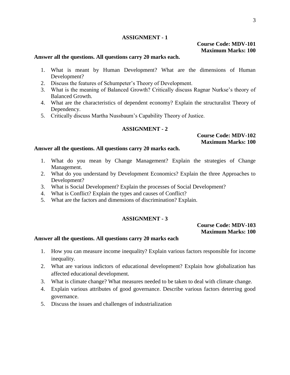# **Course Code: MDV-101 Maximum Marks: 100**

### **Answer all the questions. All questions carry 20 marks each.**

- 1. What is meant by Human Development? What are the dimensions of Human Development?
- 2. Discuss the features of Schumpeter's Theory of Development.
- 3. What is the meaning of Balanced Growth? Critically discuss Ragnar Nurkse's theory of Balanced Growth.
- 4. What are the characteristics of dependent economy? Explain the structuralist Theory of Dependency.
- 5. Critically discuss Martha Nussbaum's Capability Theory of Justice.

# **ASSIGNMENT - 2**

# **Course Code: MDV-102 Maximum Marks: 100**

### **Answer all the questions. All questions carry 20 marks each.**

- 1. What do you mean by Change Management? Explain the strategies of Change Management.
- 2. What do you understand by Development Economics? Explain the three Approaches to Development?
- 3. What is Social Development? Explain the processes of Social Development?
- 4. What is Conflict? Explain the types and causes of Conflict?
- 5. What are the factors and dimensions of discrimination? Explain.

### **ASSIGNMENT - 3**

**Course Code: MDV-103 Maximum Marks: 100**

- 1. How you can measure income inequality? Explain various factors responsible for income inequality.
- 2. What are various indictors of educational development? Explain how globalization has affected educational development.
- 3. What is climate change? What measures needed to be taken to deal with climate change.
- 4. Explain various attributes of good governance. Describe various factors deterring good governance.
- 5. Discuss the issues and challenges of industrialization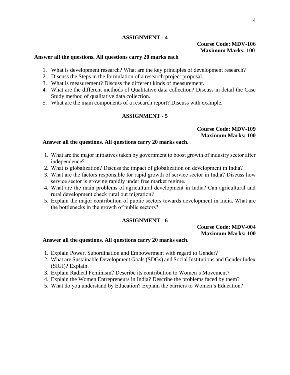# **Course Code: MDV-106 Maximum Marks: 100**

### **Answer all the questions. All questions carry 20 marks each**

- 1. What is development research? What are the key principles of development research?
- 2. Discuss the Steps in the formulation of a research project proposal.
- 3. What is measurement? Discuss the different kinds of measurement.
- 4. What are the different methods of Qualitative data collection? Discuss in detail the Case Study method of qualitative data collection.
- 5. What are the main components of a research report? Discuss with example.

# **ASSIGNMENT - 5**

#### **Course Code: MDV-109 Maximum Marks: 100**

### **Answer all the questions. All questions carry 20 marks each.**

- 1. What are the major initiatives taken by government to boost growth of industry sector after independence?
- 2. What is globalization? Discuss the impact of globalization on development in India?
- 3. What are the factors responsible for rapid growth of service sector in India? Discuss how service sector is growing rapidly under free market regime.
- 4. What are the main problems of agricultural development in India? Can agricultural and rural development check rural out migration?
- 5. Explain the major contribution of public sectors towards development in India. What are the bottlenecks in the growth of public sectors?

# **ASSIGNMENT - 6**

# **Course Code: MDV-004 Maximum Marks: 100**

- 1. Explain Power, Subordination and Empowerment with regard to Gender?
- 2. What are Sustainable Development Goals (SDGs) and Social Institutions and Gender Index (SIGI)? Explain.
- 3. Explain Radical Feminism? Describe its contribution to Women's Movement?
- 4. Explain the Women Entrepreneurs in India? Describe the problems faced by them?
- 5. What do you understand by Education? Explain the barriers to Women's Education?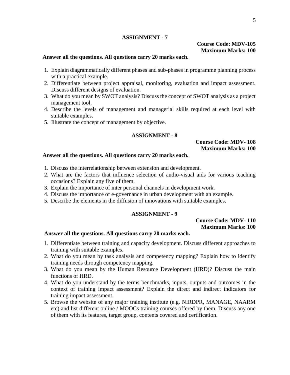# **Course Code: MDV-105 Maximum Marks: 100**

### **Answer all the questions. All questions carry 20 marks each.**

- 1. Explain diagrammatically different phases and sub-phases in programme planning process with a practical example.
- 2. Differentiate between project appraisal, monitoring, evaluation and impact assessment. Discuss different designs of evaluation.
- 3. What do you mean by SWOT analysis? Discuss the concept of SWOT analysis as a project management tool.
- 4. Describe the levels of management and managerial skills required at each level with suitable examples.
- 5. Illustrate the concept of management by objective.

### **ASSIGNMENT - 8**

#### **Course Code: MDV- 108 Maximum Marks: 100**

### **Answer all the questions. All questions carry 20 marks each.**

- 1. Discuss the interrelationship between extension and development.
- 2. What are the factors that influence selection of audio-visual aids for various teaching occasions? Explain any five of them.
- 3. Explain the importance of inter personal channels in development work.
- 4. Discuss the importance of e-governance in urban development with an example.
- 5. Describe the elements in the diffusion of innovations with suitable examples.

### **ASSIGNMENT - 9**

### **Course Code: MDV- 110 Maximum Marks: 100**

- 1. Differentiate between training and capacity development. Discuss different approaches to training with suitable examples.
- 2. What do you mean by task analysis and competency mapping? Explain how to identify training needs through competency mapping.
- 3. What do you mean by the Human Resource Development (HRD)? Discuss the main functions of HRD.
- 4. What do you understand by the terms benchmarks, inputs, outputs and outcomes in the context of training impact assessment? Explain the direct and indirect indicators for training impact assessment.
- 5. Browse the website of any major training institute (e.g. NIRDPR, MANAGE, NAARM etc) and list different online / MOOCs training courses offered by them. Discuss any one of them with its features, target group, contents covered and certification.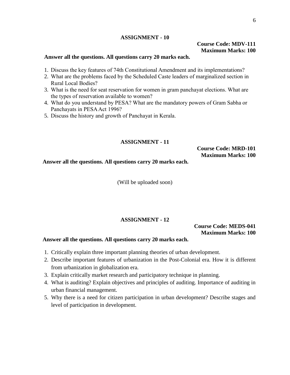# **Course Code: MDV-111 Maximum Marks: 100**

### **Answer all the questions. All questions carry 20 marks each.**

- 1. Discuss the key features of 74th Constitutional Amendment and its implementations?
- 2. What are the problems faced by the Scheduled Caste leaders of marginalized section in Rural Local Bodies?
- 3. What is the need for seat reservation for women in gram panchayat elections. What are the types of reservation available to women?
- 4. What do you understand by PESA? What are the mandatory powers of Gram Sabha or Panchayats in PESA Act 1996?
- 5. Discuss the history and growth of Panchayat in Kerala.

# **ASSIGNMENT - 11**

**Course Code: MRD-101 Maximum Marks: 100**

**Answer all the questions. All questions carry 20 marks each.**

(Will be uploaded soon)

# **ASSIGNMENT - 12**

**Course Code: MEDS-041 Maximum Marks: 100**

- 1. Critically explain three important planning theories of urban development.
- 2. Describe important features of urbanization in the Post-Colonial era. How it is different from urbanization in globalization era.
- 3. Explain critically market research and participatory technique in planning.
- 4. What is auditing? Explain objectives and principles of auditing. Importance of auditing in urban financial management.
- 5. Why there is a need for citizen participation in urban development? Describe stages and level of participation in development.